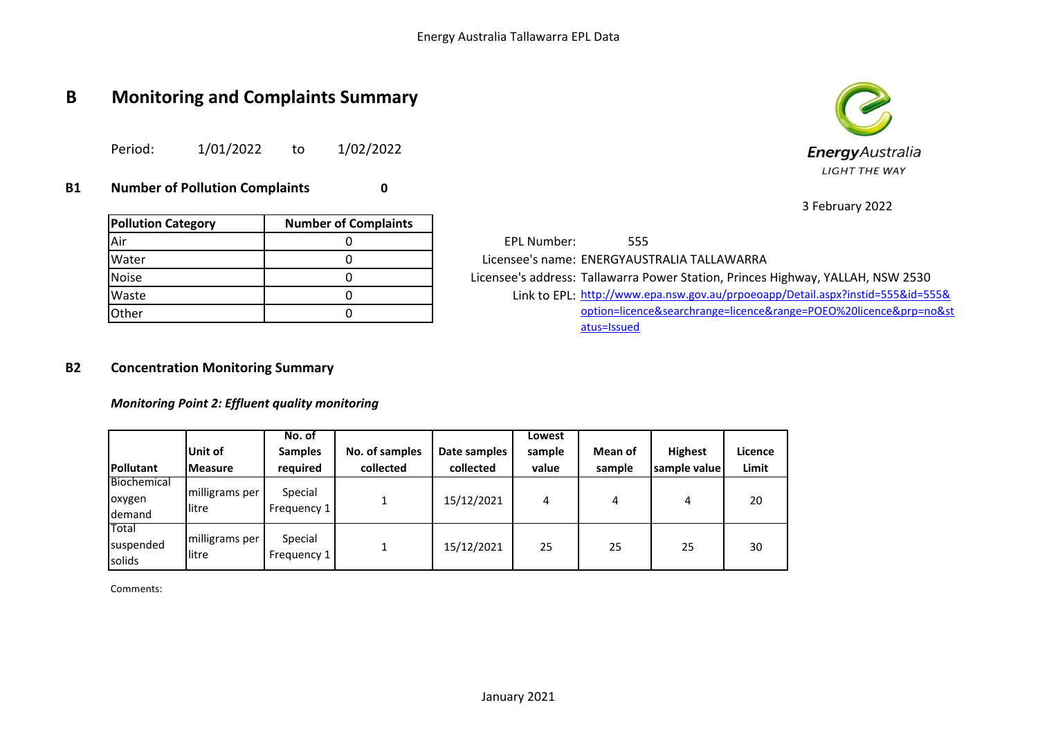## **B Monitoring and Complaints Summary**

Period: 1/01/2022 to 1/02/2022

**B1 Number of Pollution Complaints 0**

| <b>Pollution Category</b> | <b>Number of Complaints</b> |
|---------------------------|-----------------------------|
| Air                       |                             |
| Water                     |                             |
| Noise                     |                             |
| Waste                     |                             |
| Other                     |                             |

EPL Number: 555 Licensee's name: ENERGYAUSTRALIA TALLAWARRA Licensee's address: Tallawarra Power Station, Princes Highway, YALLAH, NSW 2530 Link to EPL: Waste 0 [http://www.ep](http://www.epa.nsw.gov.au/prpoeoapp/Detail.aspx?instid=555&id=555&option=licence&searchrange=licence&range=POEO%20licence&prp=no&status=Issued)a.nsw.gov.au/prpoeoapp/Detail.aspx?instid=555&id=555& [option=licence](http://www.epa.nsw.gov.au/prpoeoapp/Detail.aspx?instid=555&id=555&option=licence&searchrange=licence&range=POEO%20licence&prp=no&status=Issued)&searchrange=licence&range=POEO%20licence&prp=no&st [atus=Issued](http://www.epa.nsw.gov.au/prpoeoapp/Detail.aspx?instid=555&id=555&option=licence&searchrange=licence&range=POEO%20licence&prp=no&status=Issued)

#### **B2 Concentration Monitoring Summary**

*Monitoring Point 2: Effluent quality monitoring*

| <b>Pollutant</b>                | Unit of<br><b>IMeasure</b> | No. of<br><b>Samples</b><br>required | No. of samples<br>collected | Date samples<br>collected | Lowest<br>sample<br>value | Mean of<br>sample | <b>Highest</b><br>sample value | Licence<br>Limit |
|---------------------------------|----------------------------|--------------------------------------|-----------------------------|---------------------------|---------------------------|-------------------|--------------------------------|------------------|
| Biochemical<br>oxygen<br>demand | milligrams per<br>llitre   | Special<br>Frequency 1               |                             | 15/12/2021                | 4                         | 4                 | 4                              | 20               |
| Total<br>Isuspended<br>solids   | milligrams per<br>llitre   | Special<br>Frequency 1               |                             | 15/12/2021                | 25                        | 25                | 25                             | 30               |

Comments:



3 February 2022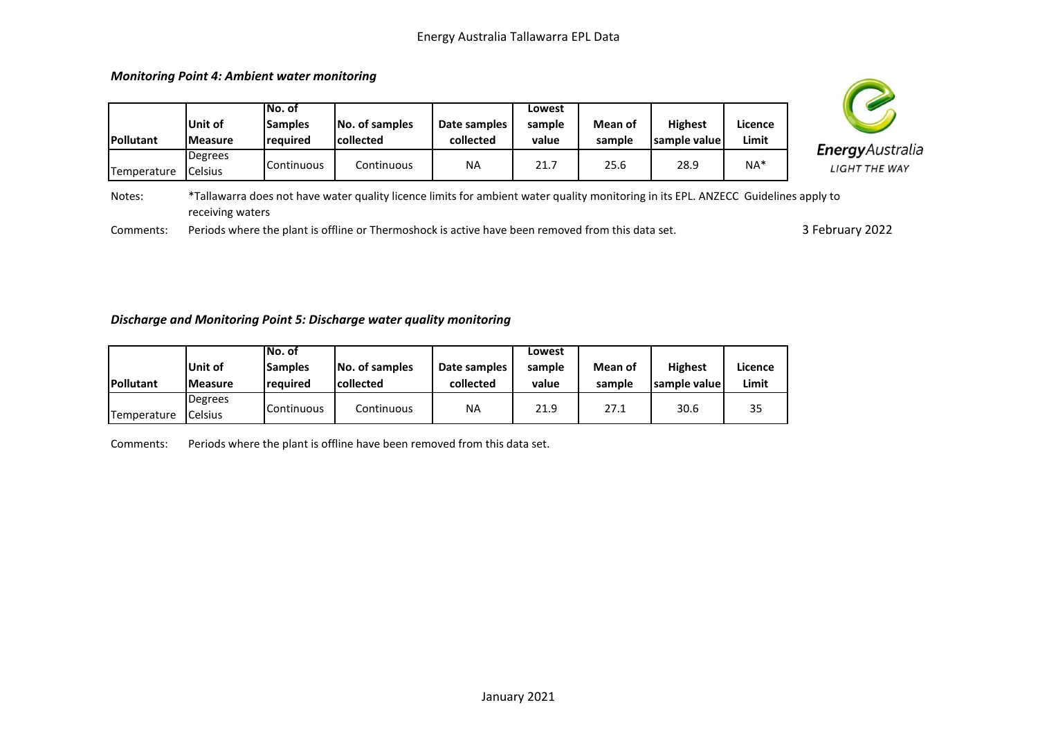

# EnergyAustralia **LIGHT THE WAY**

Notes: \*Tallawarra does not have water quality licence limits for ambient water quality monitoring in its EPL. ANZECC Guidelines apply to receiving waters

Comments: Periods where the plant is offline or Thermoshock is active have been removed from this data set.

3 February 2022

#### *Discharge and Monitoring Point 5: Discharge water quality monitoring*

*Monitoring Point 4: Ambient water monitoring*

**Pollutant**

**Temperature** 

|                  |                           | No. of                     |                              |                           | Lowest          |                   |                                  |                  |
|------------------|---------------------------|----------------------------|------------------------------|---------------------------|-----------------|-------------------|----------------------------------|------------------|
| <b>Pollutant</b> | Unit of<br><b>Measure</b> | <b>Samples</b><br>reauired | No. of samples<br>lcollected | Date samples<br>collected | sample<br>value | Mean of<br>sample | <b>Highest</b><br>Isample valuel | Licence<br>Limit |
| Temperature      | Degrees<br><b>Celsius</b> | Continuous                 | Continuous                   | ΝA                        | 21.9            | 27.1              | 30.6                             | 35               |

Comments: Periods where the plant is offline have been removed from this data set.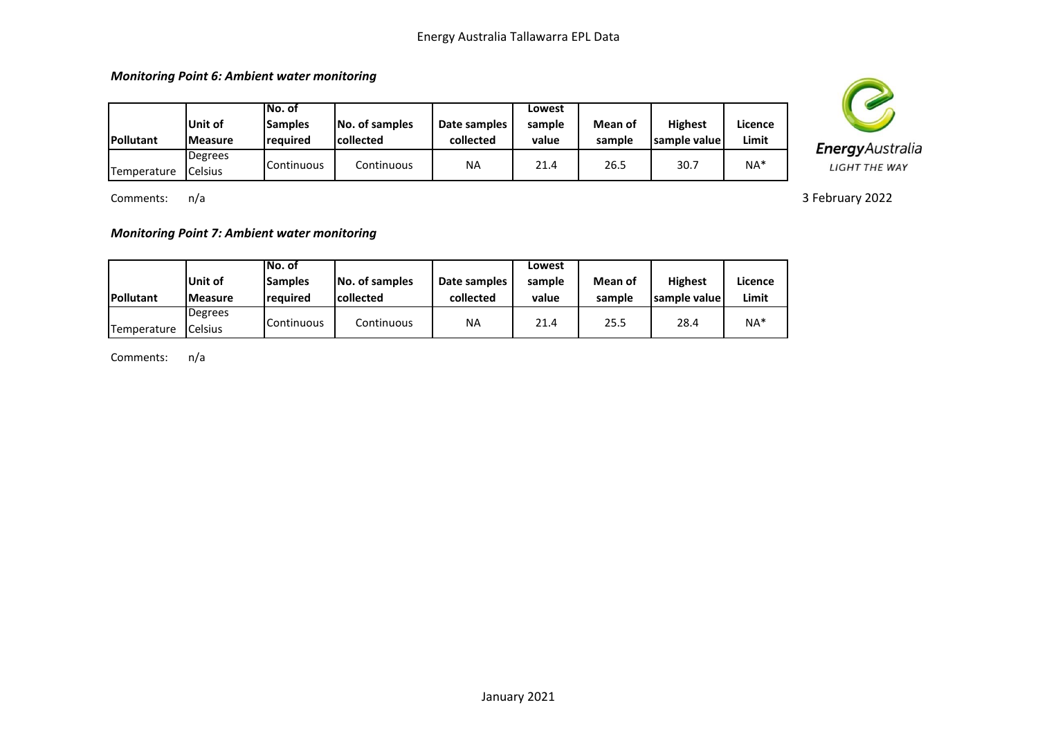*Monitoring Point 6: Ambient water monitoring*

| <b>Pollutant</b> | Unit of<br><b>IMeasure</b> | INo. of<br><b>Samples</b><br><b>reguired</b> | No. of samples<br><b>collected</b> | Date samples<br>collected | Lowest<br>sample<br>value | Mean of<br>sample | <b>Highest</b><br>Isample valuel | Licence<br>Limit |
|------------------|----------------------------|----------------------------------------------|------------------------------------|---------------------------|---------------------------|-------------------|----------------------------------|------------------|
| Temperature      | Degrees<br><b>Celsius</b>  | Continuous                                   | Continuous                         | <b>NA</b>                 | 21.4                      | 26.5              | 30.7                             | $NA*$            |

Comments: n/a

*Monitoring Point 7: Ambient water monitoring*

|                  |                | No. of         |                |              | Lowest |         |                |         |
|------------------|----------------|----------------|----------------|--------------|--------|---------|----------------|---------|
|                  | Unit of        | <b>Samples</b> | No. of samples | Date samples | sample | Mean of | <b>Highest</b> | Licence |
| <b>Pollutant</b> | <b>Measure</b> | reauired       | lcollected     | collected    | value  | sample  | Isample valuel | Limit   |
|                  | Degrees        |                |                |              |        |         |                |         |
| Temperature      | Celsius        | Continuous     | Continuous     | NA           | 21.4   | 25.5    | 28.4           | $NA*$   |

Comments: n/a



3 February 2022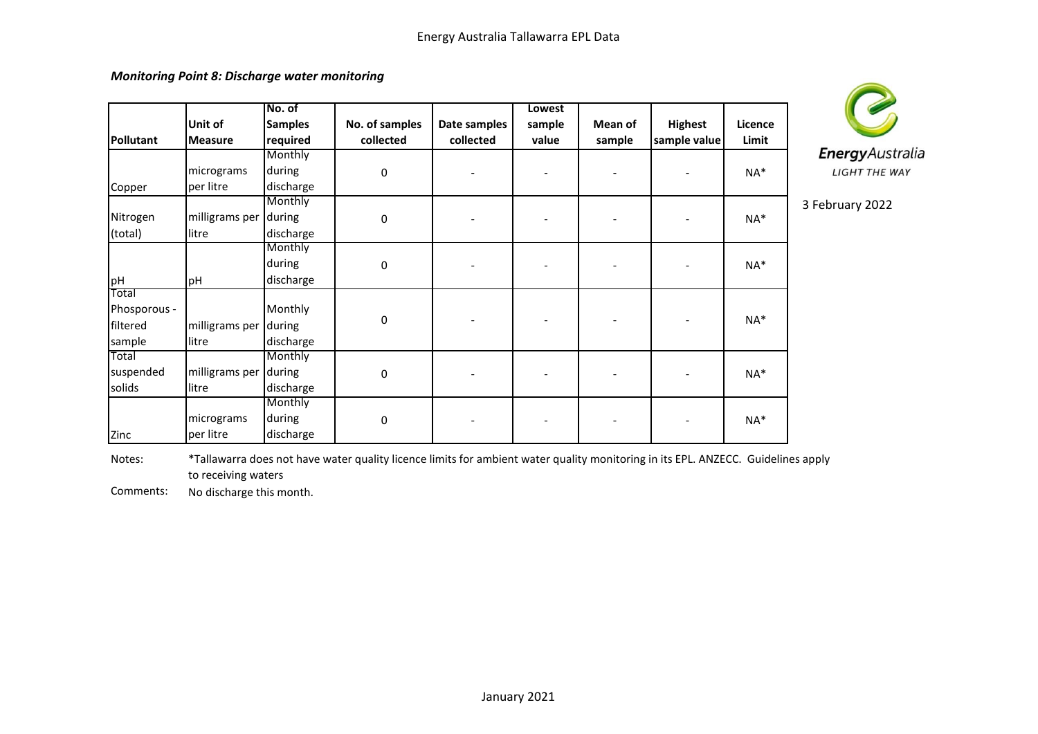*Monitoring Point 8: Discharge water monitoring*

|                  | Unit of        | No. of<br><b>Samples</b> | No. of samples | Date samples | Lowest<br>sample | Mean of | <b>Highest</b> | Licence |   |
|------------------|----------------|--------------------------|----------------|--------------|------------------|---------|----------------|---------|---|
| <b>Pollutant</b> | <b>Measure</b> | required                 | collected      | collected    | value            | sample  | sample value   | Limit   |   |
|                  |                | Monthly                  |                |              |                  |         |                |         |   |
|                  | micrograms     | during                   | $\mathbf 0$    |              |                  |         |                | NA*     |   |
| Copper           | per litre      | discharge                |                |              |                  |         |                |         |   |
|                  |                | Monthly                  |                |              |                  |         |                |         | 3 |
| Nitrogen         | milligrams per | during                   | 0              |              |                  |         |                | NA*     |   |
| (total)          | litre          | discharge                |                |              |                  |         |                |         |   |
|                  |                | Monthly                  |                |              |                  |         |                |         |   |
|                  |                | during                   | 0              |              |                  |         |                | NA*     |   |
| pH               | pH             | discharge                |                |              |                  |         |                |         |   |
| Total            |                |                          |                |              |                  |         |                |         |   |
| Phosporous -     |                | Monthly                  |                |              |                  |         |                |         |   |
| filtered         | milligrams per | during                   | $\pmb{0}$      |              |                  |         |                | NA*     |   |
| sample           | litre          | discharge                |                |              |                  |         |                |         |   |
| Total            |                | Monthly                  |                |              |                  |         |                |         |   |
| suspended        | milligrams per | during                   | 0              |              |                  |         |                | NA*     |   |
| solids           | litre          | discharge                |                |              |                  |         |                |         |   |
|                  |                | Monthly                  |                |              |                  |         |                |         |   |
|                  | micrograms     | during                   | $\pmb{0}$      |              |                  |         |                | NA*     |   |
| Zinc             | per litre      | discharge                |                |              |                  |         |                |         |   |



February 2022

Notes: \*Tallawarra does not have water quality licence limits for ambient water quality monitoring in its EPL. ANZECC. Guidelines apply to receiving waters

Comments: No discharge this month.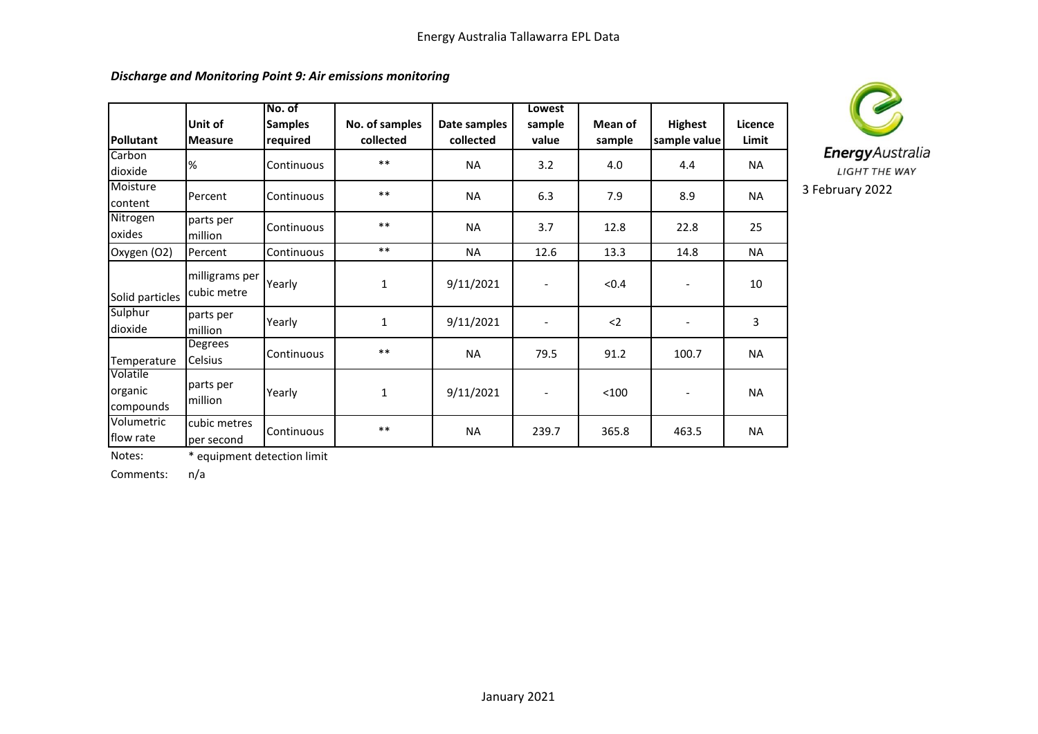### *Discharge and Monitoring Point 9: Air emissions monitoring*

| Pollutant                        | Unit of<br><b>Measure</b>     | No. of<br><b>Samples</b><br>required | No. of samples<br>collected | Date samples<br>collected | Lowest<br>sample<br>value | Mean of<br>sample | <b>Highest</b><br>sample value | Licence<br>Limit |
|----------------------------------|-------------------------------|--------------------------------------|-----------------------------|---------------------------|---------------------------|-------------------|--------------------------------|------------------|
| Carbon<br>dioxide                | $\%$                          | Continuous                           | $***$                       | <b>NA</b>                 | 3.2                       | 4.0               | 4.4                            | <b>NA</b>        |
| Moisture<br>content              | Percent                       | Continuous                           | $***$                       | <b>NA</b>                 | 6.3                       | 7.9               | 8.9                            | <b>NA</b>        |
| Nitrogen<br>oxides               | parts per<br>million          | Continuous                           | $***$                       | <b>NA</b>                 | 3.7                       | 12.8              | 22.8                           | 25               |
| Oxygen (O2)                      | Percent                       | Continuous                           | $***$                       | <b>NA</b>                 | 12.6                      | 13.3              | 14.8                           | <b>NA</b>        |
| Solid particles                  | milligrams per<br>cubic metre | Yearly                               | $\mathbf{1}$                | 9/11/2021                 | $\overline{\phantom{a}}$  | < 0.4             | $\overline{\phantom{a}}$       | 10               |
| Sulphur<br>dioxide               | parts per<br>million          | Yearly                               | $\mathbf{1}$                | 9/11/2021                 | $\overline{\phantom{a}}$  | $2$               | $\overline{\phantom{a}}$       | 3                |
| Temperature                      | <b>Degrees</b><br>Celsius     | Continuous                           | $***$                       | <b>NA</b>                 | 79.5                      | 91.2              | 100.7                          | <b>NA</b>        |
| Volatile<br>organic<br>compounds | parts per<br>million          | Yearly                               | 1                           | 9/11/2021                 | $\overline{\phantom{a}}$  | < 100             | $\qquad \qquad \blacksquare$   | <b>NA</b>        |
| Volumetric<br>flow rate          | cubic metres<br>per second    | Continuous                           | $***$                       | <b>NA</b>                 | 239.7                     | 365.8             | 463.5                          | <b>NA</b>        |



Notes: \* equipment detection limit

Comments: n/a